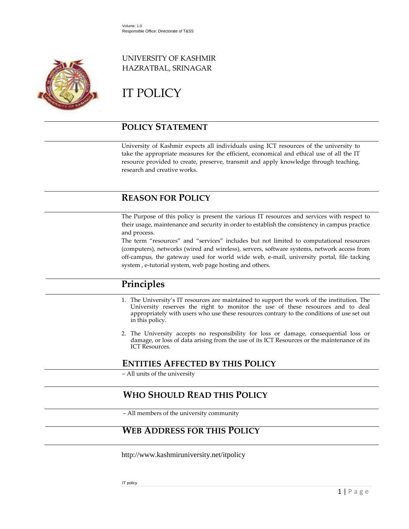

## UNIVERSITY OF KASHMIR HAZRATBAL, SRINAGAR

# IT POLICY

## **POLICY STATEMENT**

University of Kashmir expects all individuals using ICT resources of the university to take the appropriate measures for the efficient, economical and ethical use of all the IT resource provided to create, preserve, transmit and apply knowledge through teaching, research and creative works.

## **REASON FOR POLICY**

The Purpose of this policy is present the various IT resources and services with respect to their usage, maintenance and security in order to establish the consistency in campus practice and process.

The term "resources" and "services" includes but not limited to computational resources (computers), networks (wired and wireless), servers, software systems, network access from off-campus, the gateway used for world wide web, e-mail, university portal, file tacking system , e-tutorial system, web page hosting and others.

## **Principles**

- 1. The University's IT resources are maintained to support the work of the institution. The University reserves the right to monitor the use of these resources and to deal appropriately with users who use these resources contrary to the conditions of use set out in this policy.
- 2. The University accepts no responsibility for loss or damage, consequential loss or damage, or loss of data arising from the use of its ICT Resources or the maintenance of its ICT Resources.

## **ENTITIES AFFECTED BY THIS POLICY**

‒ All units of the university

## **WHO SHOULD READ THIS POLICY**

‒ All members of the university community

## **WEB ADDRESS FOR THIS POLICY**

http://www.kashmiruniversity.net/itpolicy

IT policy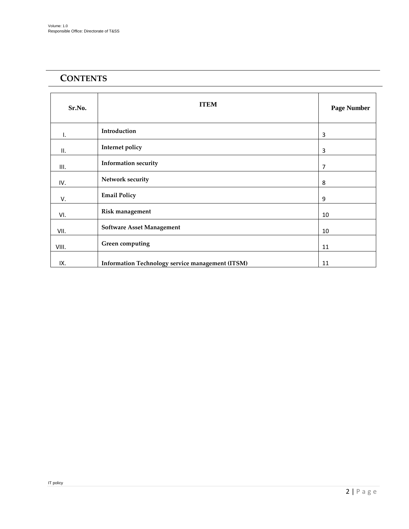## **CONTENTS**

| Sr.No. | <b>ITEM</b>                                      | <b>Page Number</b> |
|--------|--------------------------------------------------|--------------------|
| ı.     | Introduction                                     | 3                  |
| II.    | Internet policy                                  | 3                  |
| Ш.     | <b>Information security</b>                      | 7                  |
| IV.    | Network security                                 | 8                  |
| V.     | <b>Email Policy</b>                              | 9                  |
| VI.    | Risk management                                  | 10                 |
| VII.   | <b>Software Asset Management</b>                 | 10                 |
| VIII.  | Green computing                                  | 11                 |
| IX.    | Information Technology service management (ITSM) | 11                 |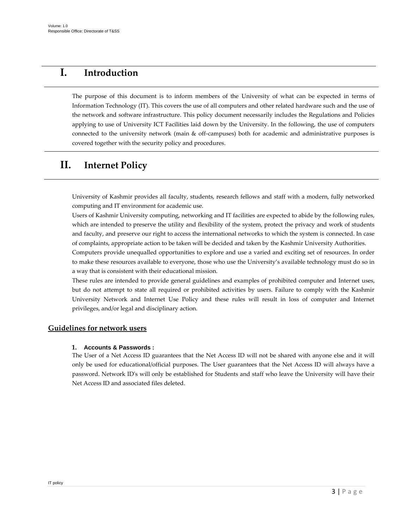## **I. Introduction**

The purpose of this document is to inform members of the University of what can be expected in terms of Information Technology (IT). This covers the use of all computers and other related hardware such and the use of the network and software infrastructure. This policy document necessarily includes the Regulations and Policies applying to use of University ICT Facilities laid down by the University. In the following, the use of computers connected to the university network (main & off-campuses) both for academic and administrative purposes is covered together with the security policy and procedures.

## **II. Internet Policy**

University of Kashmir provides all faculty, students, research fellows and staff with a modern, fully networked computing and IT environment for academic use.

Users of Kashmir University computing, networking and IT facilities are expected to abide by the following rules, which are intended to preserve the utility and flexibility of the system, protect the privacy and work of students and faculty, and preserve our right to access the international networks to which the system is connected. In case of complaints, appropriate action to be taken will be decided and taken by the Kashmir University Authorities.

Computers provide unequalled opportunities to explore and use a varied and exciting set of resources. In order to make these resources available to everyone, those who use the University's available technology must do so in a way that is consistent with their educational mission.

These rules are intended to provide general guidelines and examples of prohibited computer and Internet uses, but do not attempt to state all required or prohibited activities by users. Failure to comply with the Kashmir University Network and Internet Use Policy and these rules will result in loss of computer and Internet privileges, and/or legal and disciplinary action.

#### **Guidelines for network users**

#### **1. Accounts & Passwords :**

The User of a Net Access ID guarantees that the Net Access ID will not be shared with anyone else and it will only be used for educational/official purposes. The User guarantees that the Net Access ID will always have a password. Network ID's will only be established for Students and staff who leave the University will have their Net Access ID and associated files deleted.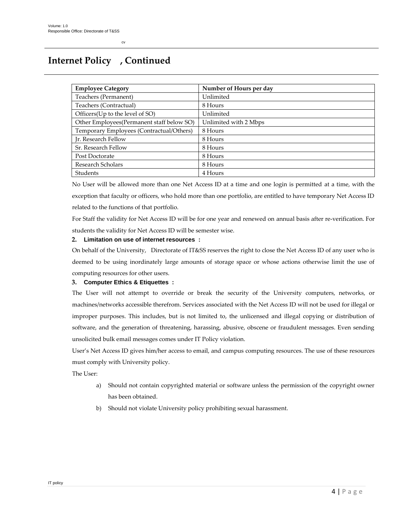## **Internet Policy , Continued**

cv

| <b>Employee Category</b>                  | Number of Hours per day |
|-------------------------------------------|-------------------------|
| Teachers (Permanent)                      | Unlimited               |
| Teachers (Contractual)                    | 8 Hours                 |
| Officers(Up to the level of SO)           | Unlimited               |
| Other Employees(Permanent staff below SO) | Unlimited with 2 Mbps   |
| Temporary Employees (Contractual/Others)  | 8 Hours                 |
| Ir. Research Fellow                       | 8 Hours                 |
| Sr. Research Fellow                       | 8 Hours                 |
| Post Doctorate                            | 8 Hours                 |
| Research Scholars                         | 8 Hours                 |
| Students                                  | 4 Hours                 |

No User will be allowed more than one Net Access ID at a time and one login is permitted at a time, with the exception that faculty or officers, who hold more than one portfolio, are entitled to have temporary Net Access ID related to the functions of that portfolio.

For Staff the validity for Net Access ID will be for one year and renewed on annual basis after re-verification. For students the validity for Net Access ID will be semester wise.

#### **2. Limitation on use of internet resources :**

On behalf of the University, Directorate of IT&SS reserves the right to close the Net Access ID of any user who is deemed to be using inordinately large amounts of storage space or whose actions otherwise limit the use of computing resources for other users.

#### **3. Computer Ethics & Etiquettes :**

The User will not attempt to override or break the security of the University computers, networks, or machines/networks accessible therefrom. Services associated with the Net Access ID will not be used for illegal or improper purposes. This includes, but is not limited to, the unlicensed and illegal copying or distribution of software, and the generation of threatening, harassing, abusive, obscene or fraudulent messages. Even sending unsolicited bulk email messages comes under IT Policy violation.

User's Net Access ID gives him/her access to email, and campus computing resources. The use of these resources must comply with University policy.

The User:

- a) Should not contain copyrighted material or software unless the permission of the copyright owner has been obtained.
- b) Should not violate University policy prohibiting sexual harassment.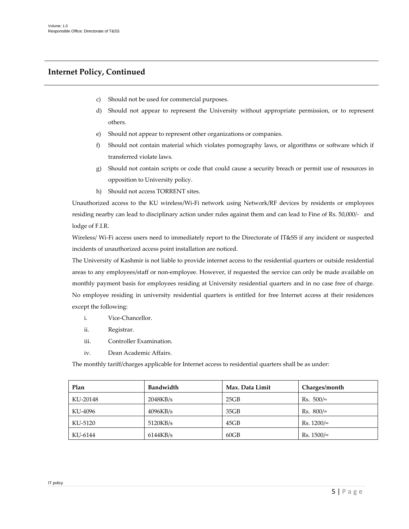### **Internet Policy, Continued**

- c) Should not be used for commercial purposes.
- d) Should not appear to represent the University without appropriate permission, or to represent others.
- e) Should not appear to represent other organizations or companies.
- f) Should not contain material which violates pornography laws, or algorithms or software which if transferred violate laws.
- g) Should not contain scripts or code that could cause a security breach or permit use of resources in opposition to University policy.
- h) Should not access TORRENT sites.

Unauthorized access to the KU wireless/Wi-Fi network using Network/RF devices by residents or employees residing nearby can lead to disciplinary action under rules against them and can lead to Fine of Rs. 50,000/- and lodge of F.I.R.

Wireless/ Wi-Fi access users need to immediately report to the Directorate of IT&SS if any incident or suspected incidents of unauthorized access point installation are noticed.

The University of Kashmir is not liable to provide internet access to the residential quarters or outside residential areas to any employees/staff or non-employee. However, if requested the service can only be made available on monthly payment basis for employees residing at University residential quarters and in no case free of charge. No employee residing in university residential quarters is entitled for free Internet access at their residences except the following:

- i. Vice-Chancellor.
- ii. Registrar.
- iii. Controller Examination.
- iv. Dean Academic Affairs.

The monthly tariff/charges applicable for Internet access to residential quarters shall be as under:

| Plan     | Bandwidth | Max. Data Limit | Charges/month |
|----------|-----------|-----------------|---------------|
| KU-20148 | 2048KB/s  | 25GB            | $Rs. 500/=$   |
| KU-4096  | 4096KB/s  | 35GB            | $Rs. 800/=$   |
| KU-5120  | 5120KB/s  | 45GB            | $Rs. 1200 =$  |
| KU-6144  | 6144KB/s  | 60GB            | $Rs. 1500 =$  |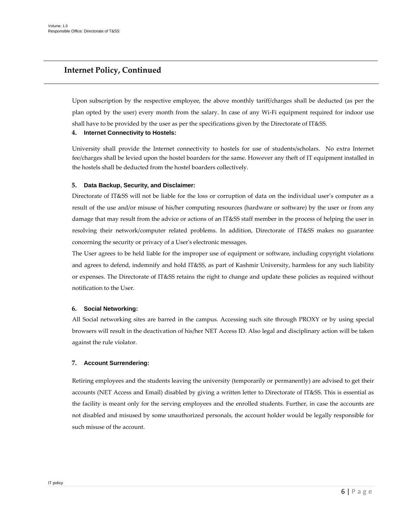### **Internet Policy, Continued**

Upon subscription by the respective employee, the above monthly tariff/charges shall be deducted (as per the plan opted by the user) every month from the salary. In case of any Wi-Fi equipment required for indoor use shall have to be provided by the user as per the specifications given by the Directorate of IT&SS.

#### **4. Internet Connectivity to Hostels:**

University shall provide the Internet connectivity to hostels for use of students/scholars. No extra Internet fee/charges shall be levied upon the hostel boarders for the same. However any theft of IT equipment installed in the hostels shall be deducted from the hostel boarders collectively.

#### **5. Data Backup, Security, and Disclaimer:**

Directorate of IT&SS will not be liable for the loss or corruption of data on the individual user's computer as a result of the use and/or misuse of his/her computing resources (hardware or software) by the user or from any damage that may result from the advice or actions of an IT&SS staff member in the process of helping the user in resolving their network/computer related problems. In addition, Directorate of IT&SS makes no guarantee concerning the security or privacy of a User's electronic messages.

The User agrees to be held liable for the improper use of equipment or software, including copyright violations and agrees to defend, indemnify and hold IT&SS, as part of Kashmir University, harmless for any such liability or expenses. The Directorate of IT&SS retains the right to change and update these policies as required without notification to the User.

#### **6. Social Networking:**

All Social networking sites are barred in the campus. Accessing such site through PROXY or by using special browsers will result in the deactivation of his/her NET Access ID. Also legal and disciplinary action will be taken against the rule violator.

#### **7. Account Surrendering:**

Retiring employees and the students leaving the university (temporarily or permanently) are advised to get their accounts (NET Access and Email) disabled by giving a written letter to Directorate of IT&SS. This is essential as the facility is meant only for the serving employees and the enrolled students. Further, in case the accounts are not disabled and misused by some unauthorized personals, the account holder would be legally responsible for such misuse of the account.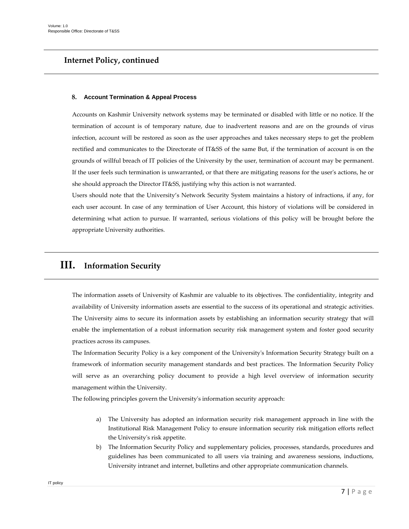### **Internet Policy, continued**

#### **8. Account Termination & Appeal Process**

Accounts on Kashmir University network systems may be terminated or disabled with little or no notice. If the termination of account is of temporary nature, due to inadvertent reasons and are on the grounds of virus infection, account will be restored as soon as the user approaches and takes necessary steps to get the problem rectified and communicates to the Directorate of IT&SS of the same But, if the termination of account is on the grounds of willful breach of IT policies of the University by the user, termination of account may be permanent. If the user feels such termination is unwarranted, or that there are mitigating reasons for the user's actions, he or she should approach the Director IT&SS, justifying why this action is not warranted.

Users should note that the University's Network Security System maintains a history of infractions, if any, for each user account. In case of any termination of User Account, this history of violations will be considered in determining what action to pursue. If warranted, serious violations of this policy will be brought before the appropriate University authorities.

## **III. Information Security**

The information assets of University of Kashmir are valuable to its objectives. The confidentiality, integrity and availability of University information assets are essential to the success of its operational and strategic activities. The University aims to secure its information assets by establishing an information security strategy that will enable the implementation of a robust information security risk management system and foster good security practices across its campuses.

The Information Security Policy is a key component of the University's Information Security Strategy built on a framework of information security management standards and best practices. The Information Security Policy will serve as an overarching policy document to provide a high level overview of information security management within the University.

The following principles govern the University's information security approach:

- a) The University has adopted an information security risk management approach in line with the Institutional Risk Management Policy to ensure information security risk mitigation efforts reflect the University's risk appetite.
- b) The Information Security Policy and supplementary policies, processes, standards, procedures and guidelines has been communicated to all users via training and awareness sessions, inductions, University intranet and internet, bulletins and other appropriate communication channels.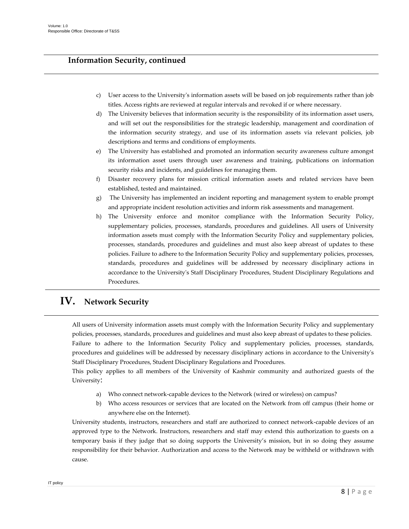## **Information Security, continued**

- c) User access to the University's information assets will be based on job requirements rather than job titles. Access rights are reviewed at regular intervals and revoked if or where necessary.
- d) The University believes that information security is the responsibility of its information asset users, and will set out the responsibilities for the strategic leadership, management and coordination of the information security strategy, and use of its information assets via relevant policies, job descriptions and terms and conditions of employments.
- e) The University has established and promoted an information security awareness culture amongst its information asset users through user awareness and training, publications on information security risks and incidents, and guidelines for managing them.
- f) Disaster recovery plans for mission critical information assets and related services have been established, tested and maintained.
- g) The University has implemented an incident reporting and management system to enable prompt and appropriate incident resolution activities and inform risk assessments and management.
- h) The University enforce and monitor compliance with the Information Security Policy, supplementary policies, processes, standards, procedures and guidelines. All users of University information assets must comply with the Information Security Policy and supplementary policies, processes, standards, procedures and guidelines and must also keep abreast of updates to these policies. Failure to adhere to the Information Security Policy and supplementary policies, processes, standards, procedures and guidelines will be addressed by necessary disciplinary actions in accordance to the University's Staff Disciplinary Procedures, Student Disciplinary Regulations and Procedures.

## **IV. Network Security**

All users of University information assets must comply with the Information Security Policy and supplementary policies, processes, standards, procedures and guidelines and must also keep abreast of updates to these policies. Failure to adhere to the Information Security Policy and supplementary policies, processes, standards, procedures and guidelines will be addressed by necessary disciplinary actions in accordance to the University's Staff Disciplinary Procedures, Student Disciplinary Regulations and Procedures.

This policy applies to all members of the University of Kashmir community and authorized guests of the University:

- Who connect network-capable devices to the Network (wired or wireless) on campus?
- b) Who access resources or services that are located on the Network from off campus (their home or anywhere else on the Internet).

University students, instructors, researchers and staff are authorized to connect network-capable devices of an approved type to the Network. Instructors, researchers and staff may extend this authorization to guests on a temporary basis if they judge that so doing supports the University's mission, but in so doing they assume responsibility for their behavior. Authorization and access to the Network may be withheld or withdrawn with cause.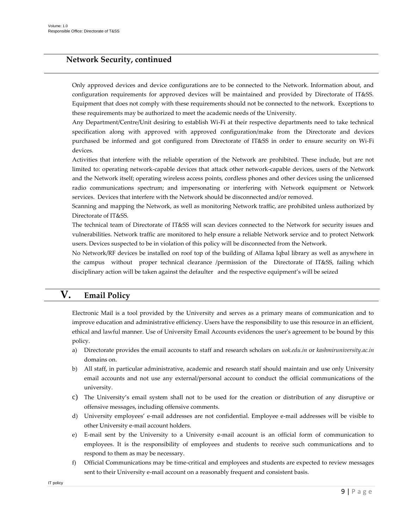### **Network Security, continued**

Only approved devices and device configurations are to be connected to the Network. Information about, and configuration requirements for approved devices will be maintained and provided by Directorate of IT&SS. Equipment that does not comply with these requirements should not be connected to the network. Exceptions to these requirements may be authorized to meet the academic needs of the University.

Any Department/Centre/Unit desiring to establish Wi-Fi at their respective departments need to take technical specification along with approved with approved configuration/make from the Directorate and devices purchased be informed and got configured from Directorate of IT&SS in order to ensure security on Wi-Fi devices.

Activities that interfere with the reliable operation of the Network are prohibited. These include, but are not limited to: operating network-capable devices that attack other network-capable devices, users of the Network and the Network itself; operating wireless access points, cordless phones and other devices using the unlicensed radio communications spectrum; and impersonating or interfering with Network equipment or Network services. Devices that interfere with the Network should be disconnected and/or removed.

Scanning and mapping the Network, as well as monitoring Network traffic, are prohibited unless authorized by Directorate of IT&SS.

The technical team of Directorate of IT&SS will scan devices connected to the Network for security issues and vulnerabilities. Network traffic are monitored to help ensure a reliable Network service and to protect Network users. Devices suspected to be in violation of this policy will be disconnected from the Network.

No Network/RF devices be installed on roof top of the building of Allama Iqbal library as well as anywhere in the campus without proper technical clearance /permission of the Directorate of IT&SS, failing which disciplinary action will be taken against the defaulter and the respective equipment's will be seized

## **V. Email Policy**

Electronic Mail is a tool provided by the University and serves as a primary means of communication and to improve education and administrative efficiency. Users have the responsibility to use this resource in an efficient, ethical and lawful manner. Use of University Email Accounts evidences the user's agreement to be bound by this policy.

- a) Directorate provides the email accounts to staff and research scholars on *uok.edu.in* or *kashmiruniversity.ac.in* domains on.
- b) All staff, in particular administrative, academic and research staff should maintain and use only University email accounts and not use any external/personal account to conduct the official communications of the university.
- c) The University's email system shall not to be used for the creation or distribution of any disruptive or offensive messages, including offensive comments.
- d) University employees' e-mail addresses are not confidential. Employee e-mail addresses will be visible to other University e-mail account holders.
- e) E-mail sent by the University to a University e-mail account is an official form of communication to employees. It is the responsibility of employees and students to receive such communications and to respond to them as may be necessary.
- f) Official Communications may be time-critical and employees and students are expected to review messages sent to their University e-mail account on a reasonably frequent and consistent basis.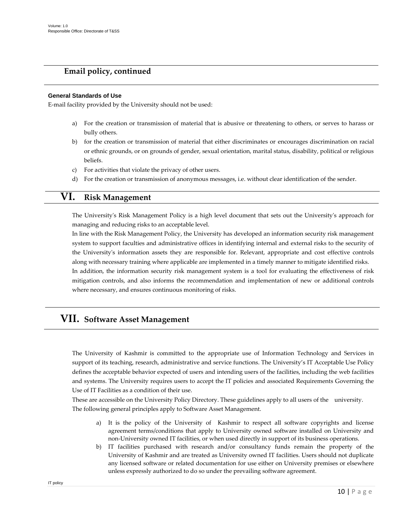### **Email policy, continued**

#### **General Standards of Use**

E-mail facility provided by the University should not be used:

- a) For the creation or transmission of material that is abusive or threatening to others, or serves to harass or bully others.
- b) for the creation or transmission of material that either discriminates or encourages discrimination on racial or ethnic grounds, or on grounds of gender, sexual orientation, marital status, disability, political or religious beliefs.
- c) For activities that violate the privacy of other users.
- d) For the creation or transmission of anonymous messages, i.e. without clear identification of the sender.

## **VI. Risk Management**

The University's Risk Management Policy is a high level document that sets out the University's approach for managing and reducing risks to an acceptable level.

In line with the Risk Management Policy, the University has developed an information security risk management system to support faculties and administrative offices in identifying internal and external risks to the security of the University's information assets they are responsible for. Relevant, appropriate and cost effective controls along with necessary training where applicable are implemented in a timely manner to mitigate identified risks. In addition, the information security risk management system is a tool for evaluating the effectiveness of risk mitigation controls, and also informs the recommendation and implementation of new or additional controls where necessary, and ensures continuous monitoring of risks.

## **VII. Software Asset Management**

The University of Kashmir is committed to the appropriate use of Information Technology and Services in support of its teaching, research, administrative and service functions. The University's IT Acceptable Use Policy defines the acceptable behavior expected of users and intending users of the facilities, including the web facilities and systems. The University requires users to accept the IT policies and associated Requirements Governing the Use of IT Facilities as a condition of their use.

These are accessible on the University Policy Directory. These guidelines apply to all users of the university. The following general principles apply to Software Asset Management.

- a) It is the policy of the University of Kashmir to respect all software copyrights and license agreement terms/conditions that apply to University owned software installed on University and non-University owned IT facilities, or when used directly in support of its business operations.
- b) IT facilities purchased with research and/or consultancy funds remain the property of the University of Kashmir and are treated as University owned IT facilities. Users should not duplicate any licensed software or related documentation for use either on University premises or elsewhere unless expressly authorized to do so under the prevailing software agreement.